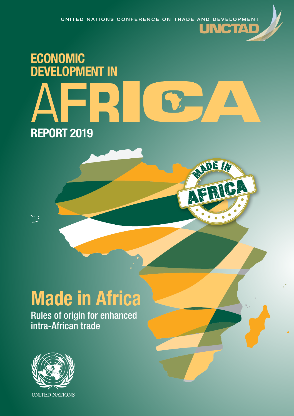# ECONOMIC DEVELOPMENT IN REPORT 2019

ADE IN

下

À

## **Made in Africa**

Rules of origin for enhanced intra-African trade



ù.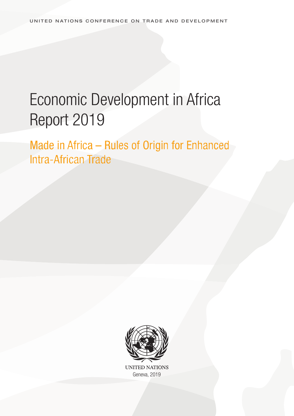## Economic Development in Africa Report 2019

Made in Africa – Rules of Origin for Enhanced Intra-African Trade



**UNITED NATIONS** Geneva, 2019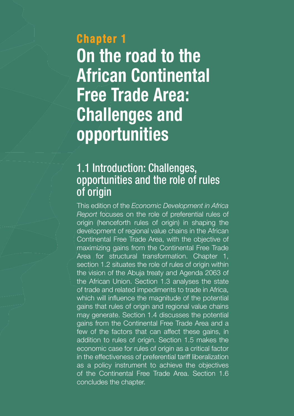## **Chapter 1 hapter On the road to the African Continental Free Trade Area: Challenges and opportunities**

## 1.1 Introduction: Challenges, opportunities and the role of rules of origin

This edition of the Economic Development in Africa Report focuses on the role of preferential rules of origin (henceforth rules of origin) in shaping the development of regional value chains in the African Continental Free Trade Area, with the objective of maximizing gains from the Continental Free Trade Area for structural transformation. Chapter 1, section 1.2 situates the role of rules of origin within the vision of the Abuja treaty and Agenda 2063 of the African Union. Section 1.3 analyses the state of trade and related impediments to trade in Africa, which will influence the magnitude of the potential gains that rules of origin and regional value chains may generate. Section 1.4 discusses the potential gains from the Continental Free Trade Area and a few of the factors that can affect these gains, in addition to rules of origin. Section 1.5 makes the economic case for rules of origin as a critical factor in the effectiveness of preferential tariff liberalization as a policy instrument to achieve the objectives of the Continental Free Trade Area. Section 1.6 concludes the chapter.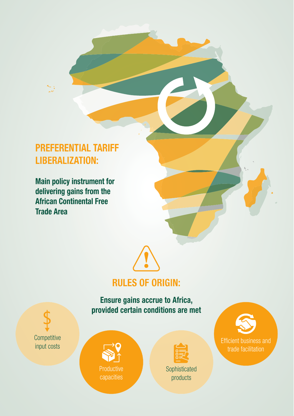### **PREFERENTIAL TARIFF LIBERALIZATION:**

**Main policy instrument for delivering gains from the African Continental Free Trade Area**



### **RULES OF ORIGIN:**

#### **Ensure gains accrue to Africa, provided certain conditions are met**

**Competitive** input costs







Efficient business and trade facilitation

products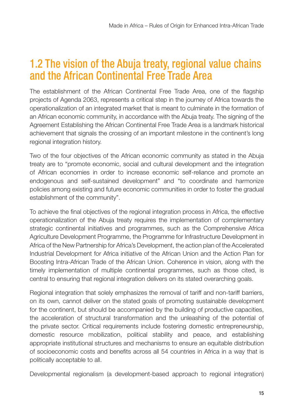## 1.2 The vision of the Abuja treaty, regional value chains and the African Continental Free Trade Area

The establishment of the African Continental Free Trade Area, one of the flagship projects of Agenda 2063, represents a critical step in the journey of Africa towards the operationalization of an integrated market that is meant to culminate in the formation of an African economic community, in accordance with the Abuja treaty. The signing of the Agreement Establishing the African Continental Free Trade Area is a landmark historical achievement that signals the crossing of an important milestone in the continent's long regional integration history.

Two of the four objectives of the African economic community as stated in the Abuja treaty are to "promote economic, social and cultural development and the integration of African economies in order to increase economic self-reliance and promote an endogenous and self-sustained development" and "to coordinate and harmonize policies among existing and future economic communities in order to foster the gradual establishment of the community".

To achieve the final objectives of the regional integration process in Africa, the effective operationalization of the Abuja treaty requires the implementation of complementary strategic continental initiatives and programmes, such as the Comprehensive Africa Agriculture Development Programme, the Programme for Infrastructure Development in Africa of the New Partnership for Africa's Development, the action plan of the Accelerated Industrial Development for Africa initiative of the African Union and the Action Plan for Boosting Intra-African Trade of the African Union. Coherence in vision, along with the timely implementation of multiple continental programmes, such as those cited, is central to ensuring that regional integration delivers on its stated overarching goals.

Regional integration that solely emphasizes the removal of tariff and non-tariff barriers, on its own, cannot deliver on the stated goals of promoting sustainable development for the continent, but should be accompanied by the building of productive capacities, the acceleration of structural transformation and the unleashing of the potential of the private sector. Critical requirements include fostering domestic entrepreneurship, domestic resource mobilization, political stability and peace, and establishing appropriate institutional structures and mechanisms to ensure an equitable distribution of socioeconomic costs and benefits across all 54 countries in Africa in a way that is politically acceptable to all.

Developmental regionalism (a development-based approach to regional integration)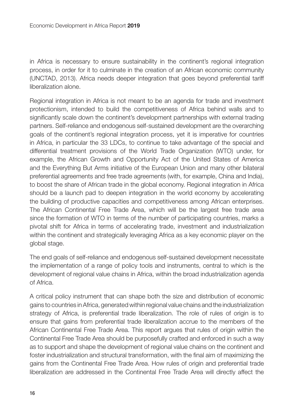in Africa is necessary to ensure sustainability in the continent's regional integration process, in order for it to culminate in the creation of an African economic community (UNCTAD, 2013). Africa needs deeper integration that goes beyond preferential tariff liberalization alone.

Regional integration in Africa is not meant to be an agenda for trade and investment protectionism, intended to build the competitiveness of Africa behind walls and to significantly scale down the continent's development partnerships with external trading partners. Self-reliance and endogenous self-sustained development are the overarching goals of the continent's regional integration process, yet it is imperative for countries in Africa, in particular the 33 LDCs, to continue to take advantage of the special and differential treatment provisions of the World Trade Organization (WTO) under, for example, the African Growth and Opportunity Act of the United States of America and the Everything But Arms initiative of the European Union and many other bilateral preferential agreements and free trade agreements (with, for example, China and India), to boost the share of African trade in the global economy. Regional integration in Africa should be a launch pad to deepen integration in the world economy by accelerating the building of productive capacities and competitiveness among African enterprises. The African Continental Free Trade Area, which will be the largest free trade area since the formation of WTO in terms of the number of participating countries, marks a pivotal shift for Africa in terms of accelerating trade, investment and industrialization within the continent and strategically leveraging Africa as a key economic player on the global stage.

The end goals of self-reliance and endogenous self-sustained development necessitate the implementation of a range of policy tools and instruments, central to which is the development of regional value chains in Africa, within the broad industrialization agenda of Africa.

A critical policy instrument that can shape both the size and distribution of economic gains to countries in Africa, generated within regional value chains and the industrialization strategy of Africa, is preferential trade liberalization. The role of rules of origin is to ensure that gains from preferential trade liberalization accrue to the members of the African Continental Free Trade Area. This report argues that rules of origin within the Continental Free Trade Area should be purposefully crafted and enforced in such a way as to support and shape the development of regional value chains on the continent and foster industrialization and structural transformation, with the final aim of maximizing the gains from the Continental Free Trade Area. How rules of origin and preferential trade liberalization are addressed in the Continental Free Trade Area will directly affect the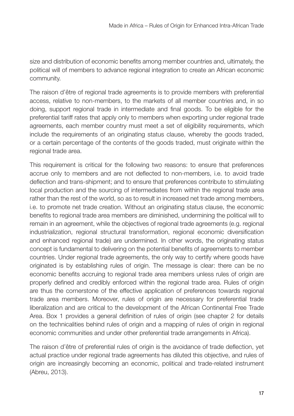size and distribution of economic benefits among member countries and, ultimately, the political will of members to advance regional integration to create an African economic community.

The raison d'être of regional trade agreements is to provide members with preferential access, relative to non-members, to the markets of all member countries and, in so doing, support regional trade in intermediate and final goods. To be eligible for the preferential tariff rates that apply only to members when exporting under regional trade agreements, each member country must meet a set of eligibility requirements, which include the requirements of an originating status clause, whereby the goods traded, or a certain percentage of the contents of the goods traded, must originate within the regional trade area.

This requirement is critical for the following two reasons: to ensure that preferences accrue only to members and are not deflected to non-members, i.e. to avoid trade deflection and trans-shipment; and to ensure that preferences contribute to stimulating local production and the sourcing of intermediates from within the regional trade area rather than the rest of the world, so as to result in increased net trade among members, i.e. to promote net trade creation. Without an originating status clause, the economic benefits to regional trade area members are diminished, undermining the political will to remain in an agreement, while the objectives of regional trade agreements (e.g. regional industrialization, regional structural transformation, regional economic diversification and enhanced regional trade) are undermined. In other words, the originating status concept is fundamental to delivering on the potential benefits of agreements to member countries. Under regional trade agreements, the only way to certify where goods have originated is by establishing rules of origin. The message is clear: there can be no economic benefits accruing to regional trade area members unless rules of origin are properly defined and credibly enforced within the regional trade area. Rules of origin are thus the cornerstone of the effective application of preferences towards regional trade area members. Moreover, rules of origin are necessary for preferential trade liberalization and are critical to the development of the African Continental Free Trade Area. Box 1 provides a general definition of rules of origin (see chapter 2 for details on the technicalities behind rules of origin and a mapping of rules of origin in regional economic communities and under other preferential trade arrangements in Africa).

The raison d'être of preferential rules of origin is the avoidance of trade deflection, yet actual practice under regional trade agreements has diluted this objective, and rules of origin are increasingly becoming an economic, political and trade-related instrument (Abreu, 2013).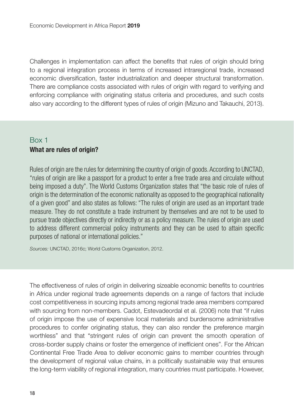Challenges in implementation can affect the benefits that rules of origin should bring to a regional integration process in terms of increased intraregional trade, increased economic diversification, faster industrialization and deeper structural transformation. There are compliance costs associated with rules of origin with regard to verifying and enforcing compliance with originating status criteria and procedures, and such costs also vary according to the different types of rules of origin (Mizuno and Takauchi, 2013).

#### Box 1 **What are rules of origin?**

Rules of origin are the rules for determining the country of origin of goods. According to UNCTAD, "rules of origin are like a passport for a product to enter a free trade area and circulate without being imposed a duty". The World Customs Organization states that "the basic role of rules of origin is the determination of the economic nationality as opposed to the geographical nationality of a given good" and also states as follows: "The rules of origin are used as an important trade measure. They do not constitute a trade instrument by themselves and are not to be used to pursue trade objectives directly or indirectly or as a policy measure. The rules of origin are used to address different commercial policy instruments and they can be used to attain specific purposes of national or international policies."

Sources: UNCTAD, 2016c; World Customs Organization, 2012.

The effectiveness of rules of origin in delivering sizeable economic benefits to countries in Africa under regional trade agreements depends on a range of factors that include cost competitiveness in sourcing inputs among regional trade area members compared with sourcing from non-members. Cadot, Estevadeordal et al. (2006) note that "if rules of origin impose the use of expensive local materials and burdensome administrative procedures to confer originating status, they can also render the preference margin worthless" and that "stringent rules of origin can prevent the smooth operation of cross-border supply chains or foster the emergence of inefficient ones". For the African Continental Free Trade Area to deliver economic gains to member countries through the development of regional value chains, in a politically sustainable way that ensures the long-term viability of regional integration, many countries must participate. However,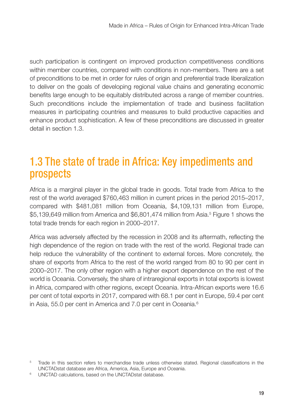such participation is contingent on improved production competitiveness conditions within member countries, compared with conditions in non-members. There are a set of preconditions to be met in order for rules of origin and preferential trade liberalization to deliver on the goals of developing regional value chains and generating economic benefits large enough to be equitably distributed across a range of member countries. Such preconditions include the implementation of trade and business facilitation measures in participating countries and measures to build productive capacities and enhance product sophistication. A few of these preconditions are discussed in greater detail in section 1.3.

## 1.3 The state of trade in Africa: Key impediments and prospects

Africa is a marginal player in the global trade in goods. Total trade from Africa to the rest of the world averaged \$760,463 million in current prices in the period 2015–2017, compared with \$481,081 million from Oceania, \$4,109,131 million from Europe, \$5,139,649 million from America and \$6,801,474 million from Asia.5 Figure 1 shows the total trade trends for each region in 2000–2017.

Africa was adversely affected by the recession in 2008 and its aftermath, reflecting the high dependence of the region on trade with the rest of the world. Regional trade can help reduce the vulnerability of the continent to external forces. More concretely, the share of exports from Africa to the rest of the world ranged from 80 to 90 per cent in 2000–2017. The only other region with a higher export dependence on the rest of the world is Oceania. Conversely, the share of intraregional exports in total exports is lowest in Africa, compared with other regions, except Oceania. Intra-African exports were 16.6 per cent of total exports in 2017, compared with 68.1 per cent in Europe, 59.4 per cent in Asia, 55.0 per cent in America and 7.0 per cent in Oceania.<sup>6</sup>

<sup>5</sup> Trade in this section refers to merchandise trade unless otherwise stated. Regional classifications in the UNCTADstat database are Africa, America, Asia, Europe and Oceania.

<sup>6</sup> UNCTAD calculations, based on the UNCTADstat database.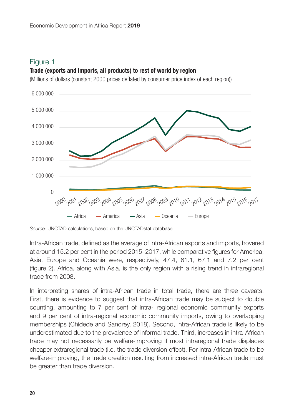#### **Trade (exports and imports, all products) to rest of world by region**

(Millions of dollars (constant 2000 prices deflated by consumer price index of each region))



Source: UNCTAD calculations, based on the UNCTADstat database.

Intra-African trade, defined as the average of intra-African exports and imports, hovered at around 15.2 per cent in the period 2015–2017, while comparative figures for America, Asia, Europe and Oceania were, respectively, 47.4, 61.1, 67.1 and 7.2 per cent (figure 2). Africa, along with Asia, is the only region with a rising trend in intraregional trade from 2008.

In interpreting shares of intra-African trade in total trade, there are three caveats. First, there is evidence to suggest that intra-African trade may be subject to double counting, amounting to 7 per cent of intra- regional economic community exports and 9 per cent of intra-regional economic community imports, owing to overlapping memberships (Chidede and Sandrey, 2018). Second, intra-African trade is likely to be underestimated due to the prevalence of informal trade. Third, increases in intra-African trade may not necessarily be welfare-improving if most intraregional trade displaces cheaper extraregional trade (i.e. the trade diversion effect). For intra-African trade to be welfare-improving, the trade creation resulting from increased intra-African trade must be greater than trade diversion.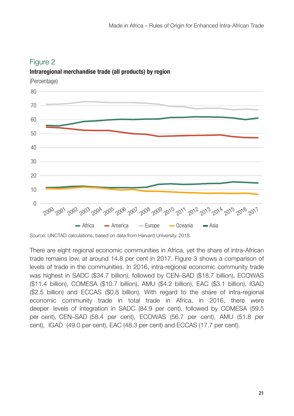

**Intraregional merchandise trade (all products) by region** 

Source: UNCTAD calculations, based on data from Harvard University, 2018.

There are eight regional economic communities in Africa, yet the share of intra-African trade remains low, at around 14.8 per cent in 2017. Figure 3 shows a comparison of levels of trade in the communities. In 2016, intra-regional economic community trade was highest in SADC (\$34.7 billion), followed by CEN–SAD (\$18.7 billion), ECOWAS (\$11.4 billion), COMESA (\$10.7 billion), AMU (\$4.2 billion), EAC (\$3.1 billion), IGAD (\$2.5 billion) and ECCAS (\$0.8 billion). With regard to the share of intra-regional economic community trade in total trade in Africa, in 2016, there were deeper levels of integration in SADC (84.9 per cent), followed by COMESA (59.5 per cent), CEN–SAD (58.4 per cent), ECOWAS (56.7 per cent), AMU (51.8 per cent), IGAD (49.0 per cent), EAC (48.3 per cent) and ECCAS (17.7 per cent).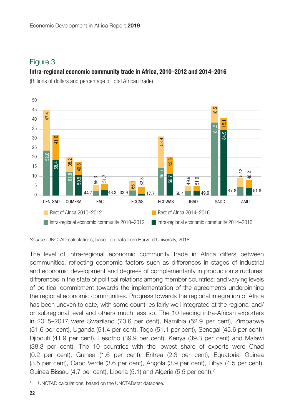#### **Intra-regional economic community trade in Africa, 2010–2012 and 2014–2016**

(Billions of dollars and percentage of total African trade)



Source: UNCTAD calculations, based on data from Harvard University, 2018.

The level of intra-regional economic community trade in Africa differs between communities, reflecting economic factors such as differences in stages of industrial and economic development and degrees of complementarity in production structures; differences in the state of political relations among member countries; and varying levels of political commitment towards the implementation of the agreements underpinning the regional economic communities. Progress towards the regional integration of Africa has been uneven to date, with some countries fairly well integrated at the regional and/ or subregional level and others much less so. The 10 leading intra-African exporters in 2015–2017 were Swaziland (70.6 per cent), Namibia (52.9 per cent), Zimbabwe (51.6 per cent), Uganda (51.4 per cent), Togo (51.1 per cent), Senegal (45.6 per cent), Djibouti (41.9 per cent), Lesotho (39.9 per cent), Kenya (39.3 per cent) and Malawi (38.3 per cent). The 10 countries with the lowest share of exports were Chad (0.2 per cent), Guinea (1.6 per cent), Eritrea (2.3 per cent), Equatorial Guinea (3.5 per cent), Cabo Verde (3.6 per cent), Angola (3.9 per cent), Libya (4.5 per cent), Guinea Bissau (4.7 per cent), Liberia (5.1) and Algeria (5.5 per cent).7

<sup>7</sup> UNCTAD calculations, based on the UNCTADstat database.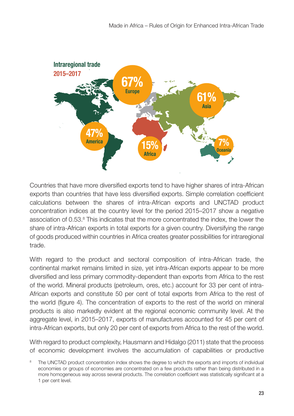

Countries that have more diversified exports tend to have higher shares of intra-African exports than countries that have less diversified exports. Simple correlation coefficient calculations between the shares of intra-African exports and UNCTAD product concentration indices at the country level for the period 2015–2017 show a negative association of 0.53.<sup>8</sup> This indicates that the more concentrated the index, the lower the share of intra-African exports in total exports for a given country. Diversifying the range of goods produced within countries in Africa creates greater possibilities for intraregional trade.

With regard to the product and sectoral composition of intra-African trade, the continental market remains limited in size, yet intra-African exports appear to be more diversified and less primary commodity-dependent than exports from Africa to the rest of the world. Mineral products (petroleum, ores, etc.) account for 33 per cent of intra-African exports and constitute 50 per cent of total exports from Africa to the rest of the world (figure 4). The concentration of exports to the rest of the world on mineral products is also markedly evident at the regional economic community level. At the aggregate level, in 2015–2017, exports of manufactures accounted for 45 per cent of intra-African exports, but only 20 per cent of exports from Africa to the rest of the world.

With regard to product complexity, Hausmann and Hidalgo (2011) state that the process of economic development involves the accumulation of capabilities or productive

The UNCTAD product concentration index shows the degree to which the exports and imports of individual economies or groups of economies are concentrated on a few products rather than being distributed in a more homogeneous way across several products. The correlation coefficient was statistically significant at a 1 per cent level.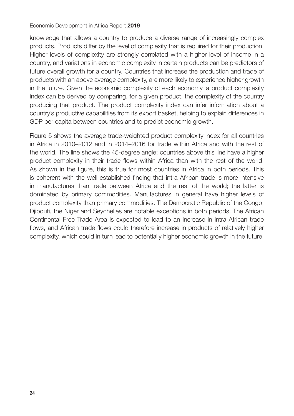#### Economic Development in Africa Report **2019**

knowledge that allows a country to produce a diverse range of increasingly complex products. Products differ by the level of complexity that is required for their production. Higher levels of complexity are strongly correlated with a higher level of income in a country, and variations in economic complexity in certain products can be predictors of future overall growth for a country. Countries that increase the production and trade of products with an above average complexity, are more likely to experience higher growth in the future. Given the economic complexity of each economy, a product complexity index can be derived by comparing, for a given product, the complexity of the country producing that product. The product complexity index can infer information about a country's productive capabilities from its export basket, helping to explain differences in GDP per capita between countries and to predict economic growth.

Figure 5 shows the average trade-weighted product complexity index for all countries in Africa in 2010–2012 and in 2014–2016 for trade within Africa and with the rest of the world. The line shows the 45-degree angle; countries above this line have a higher product complexity in their trade flows within Africa than with the rest of the world. As shown in the figure, this is true for most countries in Africa in both periods. This is coherent with the well-established finding that intra-African trade is more intensive in manufactures than trade between Africa and the rest of the world; the latter is dominated by primary commodities. Manufactures in general have higher levels of product complexity than primary commodities. The Democratic Republic of the Congo, Djibouti, the Niger and Seychelles are notable exceptions in both periods. The African Continental Free Trade Area is expected to lead to an increase in intra-African trade flows, and African trade flows could therefore increase in products of relatively higher complexity, which could in turn lead to potentially higher economic growth in the future.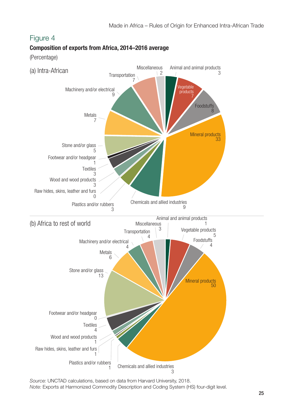

**Composition of exports from Africa, 2014–2016 average**

(Percentage)

Source: UNCTAD calculations, based on data from Harvard University, 2018. Note: Exports at Harmonized Commodity Description and Coding System (HS) four-digit level.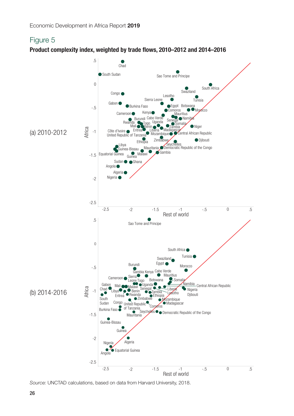**Product complexity index, weighted by trade flows, 2010–2012 and 2014–2016**



Source: UNCTAD calculations, based on data from Harvard University, 2018.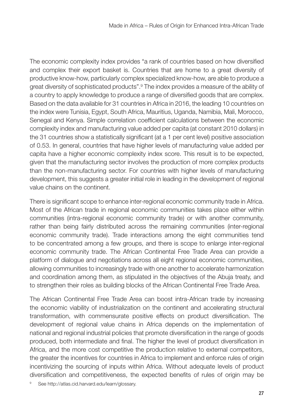The economic complexity index provides "a rank of countries based on how diversified and complex their export basket is. Countries that are home to a great diversity of productive know-how, particularly complex specialized know-how, are able to produce a great diversity of sophisticated products".<sup>9</sup> The index provides a measure of the ability of a country to apply knowledge to produce a range of diversified goods that are complex. Based on the data available for 31 countries in Africa in 2016, the leading 10 countries on the index were Tunisia, Egypt, South Africa, Mauritius, Uganda, Namibia, Mali, Morocco, Senegal and Kenya. Simple correlation coefficient calculations between the economic complexity index and manufacturing value added per capita (at constant 2010 dollars) in the 31 countries show a statistically significant (at a 1 per cent level) positive association of 0.53. In general, countries that have higher levels of manufacturing value added per capita have a higher economic complexity index score. This result is to be expected, given that the manufacturing sector involves the production of more complex products than the non-manufacturing sector. For countries with higher levels of manufacturing development, this suggests a greater initial role in leading in the development of regional value chains on the continent.

There is significant scope to enhance inter-regional economic community trade in Africa. Most of the African trade in regional economic communities takes place either within communities (intra-regional economic community trade) or with another community, rather than being fairly distributed across the remaining communities (inter-regional economic community trade). Trade interactions among the eight communities tend to be concentrated among a few groups, and there is scope to enlarge inter-regional economic community trade. The African Continental Free Trade Area can provide a platform of dialogue and negotiations across all eight regional economic communities, allowing communities to increasingly trade with one another to accelerate harmonization and coordination among them, as stipulated in the objectives of the Abuja treaty, and to strengthen their roles as building blocks of the African Continental Free Trade Area.

The African Continental Free Trade Area can boost intra-African trade by increasing the economic viability of industrialization on the continent and accelerating structural transformation, with commensurate positive effects on product diversification. The development of regional value chains in Africa depends on the implementation of national and regional industrial policies that promote diversification in the range of goods produced, both intermediate and final. The higher the level of product diversification in Africa, and the more cost competitive the production relative to external competitors, the greater the incentives for countries in Africa to implement and enforce rules of origin incentivizing the sourcing of inputs within Africa. Without adequate levels of product diversification and competitiveness, the expected benefits of rules of origin may be

9 See http://atlas.cid.harvard.edu/learn/glossary.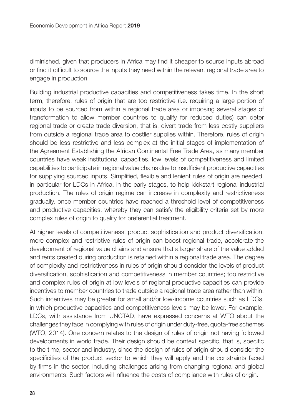diminished, given that producers in Africa may find it cheaper to source inputs abroad or find it difficult to source the inputs they need within the relevant regional trade area to engage in production.

Building industrial productive capacities and competitiveness takes time. In the short term, therefore, rules of origin that are too restrictive (i.e. requiring a large portion of inputs to be sourced from within a regional trade area or imposing several stages of transformation to allow member countries to qualify for reduced duties) can deter regional trade or create trade diversion, that is, divert trade from less costly suppliers from outside a regional trade area to costlier supplies within. Therefore, rules of origin should be less restrictive and less complex at the initial stages of implementation of the Agreement Establishing the African Continental Free Trade Area, as many member countries have weak institutional capacities, low levels of competitiveness and limited capabilities to participate in regional value chains due to insufficient productive capacities for supplying sourced inputs. Simplified, flexible and lenient rules of origin are needed, in particular for LDCs in Africa, in the early stages, to help kickstart regional industrial production. The rules of origin regime can increase in complexity and restrictiveness gradually, once member countries have reached a threshold level of competitiveness and productive capacities, whereby they can satisfy the eligibility criteria set by more complex rules of origin to qualify for preferential treatment.

At higher levels of competitiveness, product sophistication and product diversification, more complex and restrictive rules of origin can boost regional trade, accelerate the development of regional value chains and ensure that a larger share of the value added and rents created during production is retained within a regional trade area. The degree of complexity and restrictiveness in rules of origin should consider the levels of product diversification, sophistication and competitiveness in member countries; too restrictive and complex rules of origin at low levels of regional productive capacities can provide incentives to member countries to trade outside a regional trade area rather than within. Such incentives may be greater for small and/or low-income countries such as LDCs, in which productive capacities and competitiveness levels may be lower. For example, LDCs, with assistance from UNCTAD, have expressed concerns at WTO about the challenges they face in complying with rules of origin under duty-free, quota-free schemes (WTO, 2014). One concern relates to the design of rules of origin not having followed developments in world trade. Their design should be context specific, that is, specific to the time, sector and industry, since the design of rules of origin should consider the specificities of the product sector to which they will apply and the constraints faced by firms in the sector, including challenges arising from changing regional and global environments. Such factors will influence the costs of compliance with rules of origin.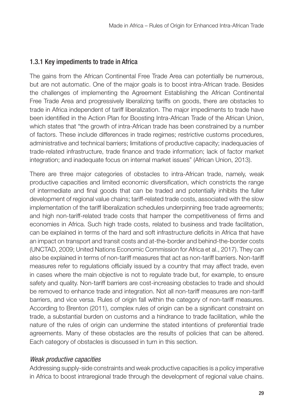#### 1.3.1 Key impediments to trade in Africa

The gains from the African Continental Free Trade Area can potentially be numerous, but are not automatic. One of the major goals is to boost intra-African trade. Besides the challenges of implementing the Agreement Establishing the African Continental Free Trade Area and progressively liberalizing tariffs on goods, there are obstacles to trade in Africa independent of tariff liberalization. The major impediments to trade have been identified in the Action Plan for Boosting Intra-African Trade of the African Union, which states that "the growth of intra-African trade has been constrained by a number of factors. These include differences in trade regimes; restrictive customs procedures, administrative and technical barriers; limitations of productive capacity; inadequacies of trade‐related infrastructure, trade finance and trade information; lack of factor market integration; and inadequate focus on internal market issues" (African Union, 2013).

There are three major categories of obstacles to intra-African trade, namely, weak productive capacities and limited economic diversification, which constricts the range of intermediate and final goods that can be traded and potentially inhibits the fuller development of regional value chains; tariff-related trade costs, associated with the slow implementation of the tariff liberalization schedules underpinning free trade agreements; and high non-tariff-related trade costs that hamper the competitiveness of firms and economies in Africa. Such high trade costs, related to business and trade facilitation, can be explained in terms of the hard and soft infrastructure deficits in Africa that have an impact on transport and transit costs and at-the-border and behind-the-border costs (UNCTAD, 2009; United Nations Economic Commission for Africa et al., 2017). They can also be explained in terms of non-tariff measures that act as non-tariff barriers. Non-tariff measures refer to regulations officially issued by a country that may affect trade, even in cases where the main objective is not to regulate trade but, for example, to ensure safety and quality. Non-tariff barriers are cost-increasing obstacles to trade and should be removed to enhance trade and integration. Not all non-tariff measures are non-tariff barriers, and vice versa. Rules of origin fall within the category of non-tariff measures. According to Brenton (2011), complex rules of origin can be a significant constraint on trade, a substantial burden on customs and a hindrance to trade facilitation, while the nature of the rules of origin can undermine the stated intentions of preferential trade agreements. Many of these obstacles are the results of policies that can be altered. Each category of obstacles is discussed in turn in this section.

#### Weak productive capacities

Addressing supply-side constraints and weak productive capacities is a policy imperative in Africa to boost intraregional trade through the development of regional value chains.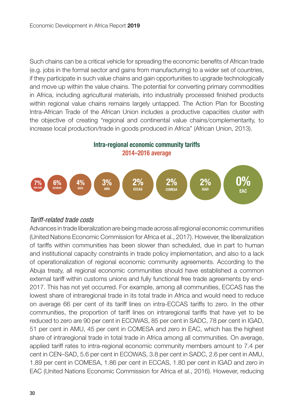Such chains can be a critical vehicle for spreading the economic benefits of African trade (e.g. jobs in the formal sector and gains from manufacturing) to a wider set of countries, if they participate in such value chains and gain opportunities to upgrade technologically and move up within the value chains. The potential for converting primary commodities in Africa, including agricultural materials, into industrially processed finished products within regional value chains remains largely untapped. The Action Plan for Boosting Intra-African Trade of the African Union includes a productive capacities cluster with the objective of creating "regional and continental value chains/complementarity, to increase local production/trade in goods produced in Africa" (African Union, 2013).

#### **Intra-regional economic community tariffs 2014–2016 average**



#### Tariff-related trade costs

Advances in trade liberalization are being made across all regional economic communities (United Nations Economic Commission for Africa et al., 2017). However, the liberalization of tariffs within communities has been slower than scheduled, due in part to human and institutional capacity constraints in trade policy implementation, and also to a lack of operationalization of regional economic community agreements. According to the Abuja treaty, all regional economic communities should have established a common external tariff within customs unions and fully functional free trade agreements by end-2017. This has not yet occurred. For example, among all communities, ECCAS has the lowest share of intraregional trade in its total trade in Africa and would need to reduce on average 66 per cent of its tariff lines on intra-ECCAS tariffs to zero. In the other communities, the proportion of tariff lines on intraregional tariffs that have yet to be reduced to zero are 90 per cent in ECOWAS, 85 per cent in SADC, 78 per cent in IGAD, 51 per cent in AMU, 45 per cent in COMESA and zero in EAC, which has the highest share of intraregional trade in total trade in Africa among all communities. On average, applied tariff rates to intra-regional economic community members amount to 7.4 per cent in CEN–SAD, 5.6 per cent in ECOWAS, 3.8 per cent in SADC, 2.6 per cent in AMU, 1.89 per cent in COMESA, 1.86 per cent in ECCAS, 1.80 per cent in IGAD and zero in EAC (United Nations Economic Commission for Africa et al., 2016). However, reducing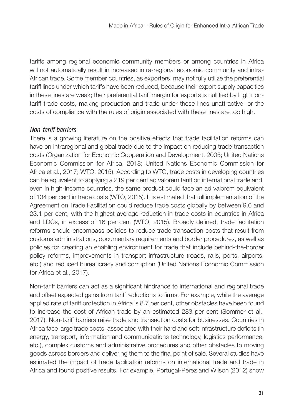tariffs among regional economic community members or among countries in Africa will not automatically result in increased intra-regional economic community and intra-African trade. Some member countries, as exporters, may not fully utilize the preferential tariff lines under which tariffs have been reduced, because their export supply capacities in these lines are weak; their preferential tariff margin for exports is nullified by high nontariff trade costs, making production and trade under these lines unattractive; or the costs of compliance with the rules of origin associated with these lines are too high.

#### Non-tariff barriers

There is a growing literature on the positive effects that trade facilitation reforms can have on intraregional and global trade due to the impact on reducing trade transaction costs (Organization for Economic Cooperation and Development, 2005; United Nations Economic Commission for Africa, 2018; United Nations Economic Commission for Africa et al., 2017; WTO, 2015). According to WTO, trade costs in developing countries can be equivalent to applying a 219 per cent ad valorem tariff on international trade and, even in high-income countries, the same product could face an ad valorem equivalent of 134 per cent in trade costs (WTO, 2015). It is estimated that full implementation of the Agreement on Trade Facilitation could reduce trade costs globally by between 9.6 and 23.1 per cent, with the highest average reduction in trade costs in countries in Africa and LDCs, in excess of 16 per cent (WTO, 2015). Broadly defined, trade facilitation reforms should encompass policies to reduce trade transaction costs that result from customs administrations, documentary requirements and border procedures, as well as policies for creating an enabling environment for trade that include behind-the-border policy reforms, improvements in transport infrastructure (roads, rails, ports, airports, etc.) and reduced bureaucracy and corruption (United Nations Economic Commission for Africa et al., 2017).

Non-tariff barriers can act as a significant hindrance to international and regional trade and offset expected gains from tariff reductions to firms. For example, while the average applied rate of tariff protection in Africa is 8.7 per cent, other obstacles have been found to increase the cost of African trade by an estimated 283 per cent (Sommer et al., 2017). Non-tariff barriers raise trade and transaction costs for businesses. Countries in Africa face large trade costs, associated with their hard and soft infrastructure deficits (in energy, transport, information and communications technology, logistics performance, etc.), complex customs and administrative procedures and other obstacles to moving goods across borders and delivering them to the final point of sale. Several studies have estimated the impact of trade facilitation reforms on international trade and trade in Africa and found positive results. For example, Portugal-Pérez and Wilson (2012) show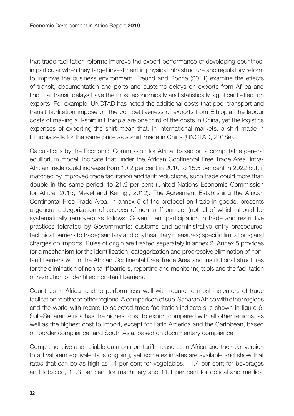that trade facilitation reforms improve the export performance of developing countries, in particular when they target investment in physical infrastructure and regulatory reform to improve the business environment. Freund and Rocha (2011) examine the effects of transit, documentation and ports and customs delays on exports from Africa and find that transit delays have the most economically and statistically significant effect on exports. For example, UNCTAD has noted the additional costs that poor transport and transit facilitation impose on the competitiveness of exports from Ethiopia; the labour costs of making a T-shirt in Ethiopia are one third of the costs in China, yet the logistics expenses of exporting the shirt mean that, in international markets, a shirt made in Ethiopia sells for the same price as a shirt made in China (UNCTAD, 2018e).

Calculations by the Economic Commission for Africa, based on a computable general equilibrium model, indicate that under the African Continental Free Trade Area, intra-African trade could increase from 10.2 per cent in 2010 to 15.5 per cent in 2022 but, if matched by improved trade facilitation and tariff reductions, such trade could more than double in the same period, to 21.9 per cent (United Nations Economic Commission for Africa, 2015; Mevel and Karingi, 2012). The Agreement Establishing the African Continental Free Trade Area, in annex 5 of the protocol on trade in goods, presents a general categorization of sources of non-tariff barriers (not all of which should be systematically removed) as follows: Government participation in trade and restrictive practices tolerated by Governments; customs and administrative entry procedures; technical barriers to trade; sanitary and phytosanitary measures; specific limitations; and charges on imports. Rules of origin are treated separately in annex 2. Annex 5 provides for a mechanism for the identification, categorization and progressive elimination of nontariff barriers within the African Continental Free Trade Area and institutional structures for the elimination of non-tariff barriers, reporting and monitoring tools and the facilitation of resolution of identified non-tariff barriers.

Countries in Africa tend to perform less well with regard to most indicators of trade facilitation relative to other regions. A comparison of sub-Saharan Africa with other regions and the world with regard to selected trade facilitation indicators is shown in figure 6. Sub-Saharan Africa has the highest cost to export compared with all other regions, as well as the highest cost to import, except for Latin America and the Caribbean, based on border compliance, and South Asia, based on documentary compliance.

Comprehensive and reliable data on non-tariff measures in Africa and their conversion to ad valorem equivalents is ongoing, yet some estimates are available and show that rates that can be as high as 14 per cent for vegetables, 11.4 per cent for beverages and tobacco, 11.3 per cent for machinery and 11.1 per cent for optical and medical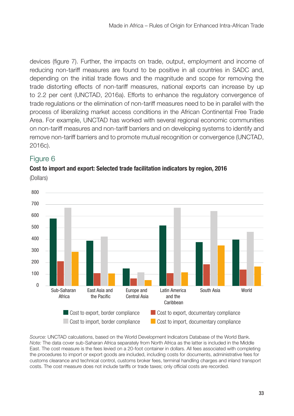devices (figure 7). Further, the impacts on trade, output, employment and income of reducing non-tariff measures are found to be positive in all countries in SADC and, depending on the initial trade flows and the magnitude and scope for removing the trade distorting effects of non-tariff measures, national exports can increase by up to 2.2 per cent (UNCTAD, 2016a). Efforts to enhance the regulatory convergence of trade regulations or the elimination of non-tariff measures need to be in parallel with the process of liberalizing market access conditions in the African Continental Free Trade Area. For example, UNCTAD has worked with several regional economic communities on non-tariff measures and non-tariff barriers and on developing systems to identify and remove non-tariff barriers and to promote mutual recognition or convergence (UNCTAD, 2016c).

#### Figure 6

#### **Cost to import and export: Selected trade facilitation indicators by region, 2016**



(Dollars)

Source: UNCTAD calculations, based on the World Development Indicators Database of the World Bank. Note: The data cover sub-Saharan Africa separately from North Africa as the latter is included in the Middle East. The cost measure is the fees levied on a 20-foot container in dollars. All fees associated with completing the procedures to import or export goods are included, including costs for documents, administrative fees for customs clearance and technical control, customs broker fees, terminal handling charges and inland transport costs. The cost measure does not include tariffs or trade taxes; only official costs are recorded.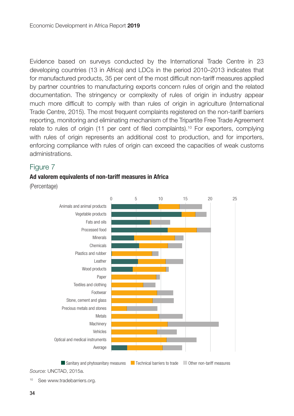Evidence based on surveys conducted by the International Trade Centre in 23 developing countries (13 in Africa) and LDCs in the period 2010–2013 indicates that for manufactured products, 35 per cent of the most difficult non-tariff measures applied by partner countries to manufacturing exports concern rules of origin and the related documentation. The stringency or complexity of rules of origin in industry appear much more difficult to comply with than rules of origin in agriculture (International Trade Centre, 2015). The most frequent complaints registered on the non-tariff barriers reporting, monitoring and eliminating mechanism of the Tripartite Free Trade Agreement relate to rules of origin (11 per cent of filed complaints).<sup>10</sup> For exporters, complying with rules of origin represents an additional cost to production, and for importers, enforcing compliance with rules of origin can exceed the capacities of weak customs administrations.

#### Figure 7

#### **Ad valorem equivalents of non-tariff measures in Africa**

(Percentage)



Source: UNCTAD, 2015a.

<sup>10</sup> See www.tradebarriers.org.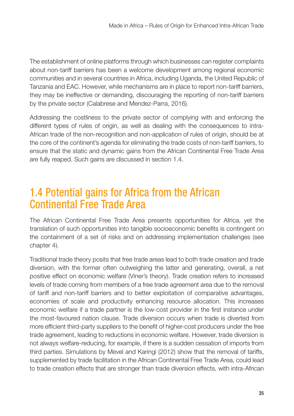The establishment of online platforms through which businesses can register complaints about non-tariff barriers has been a welcome development among regional economic communities and in several countries in Africa, including Uganda, the United Republic of Tanzania and EAC. However, while mechanisms are in place to report non-tariff barriers, they may be ineffective or demanding, discouraging the reporting of non-tariff barriers by the private sector (Calabrese and Mendez-Parra, 2016).

Addressing the costliness to the private sector of complying with and enforcing the different types of rules of origin, as well as dealing with the consequences to intra-African trade of the non-recognition and non-application of rules of origin, should be at the core of the continent's agenda for eliminating the trade costs of non-tariff barriers, to ensure that the static and dynamic gains from the African Continental Free Trade Area are fully reaped. Such gains are discussed in section 1.4.

## 1.4 Potential gains for Africa from the African Continental Free Trade Area

The African Continental Free Trade Area presents opportunities for Africa, yet the translation of such opportunities into tangible socioeconomic benefits is contingent on the containment of a set of risks and on addressing implementation challenges (see chapter 4).

Traditional trade theory posits that free trade areas lead to both trade creation and trade diversion, with the former often outweighing the latter and generating, overall, a net positive effect on economic welfare (Viner's theory). Trade creation refers to increased levels of trade coming from members of a free trade agreement area due to the removal of tariff and non-tariff barriers and to better exploitation of comparative advantages, economies of scale and productivity enhancing resource allocation. This increases economic welfare if a trade partner is the low-cost provider in the first instance under the most-favoured nation clause. Trade diversion occurs when trade is diverted from more efficient third-party suppliers to the benefit of higher-cost producers under the free trade agreement, leading to reductions in economic welfare. However, trade diversion is not always welfare-reducing, for example, if there is a sudden cessation of imports from third parties. Simulations by Mevel and Karingi (2012) show that the removal of tariffs, supplemented by trade facilitation in the African Continental Free Trade Area, could lead to trade creation effects that are stronger than trade diversion effects, with intra-African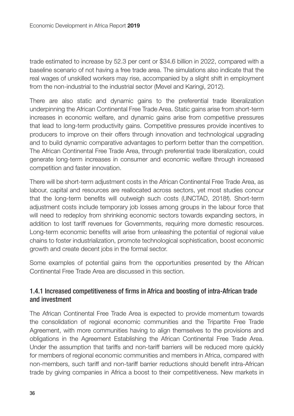trade estimated to increase by 52.3 per cent or \$34.6 billion in 2022, compared with a baseline scenario of not having a free trade area. The simulations also indicate that the real wages of unskilled workers may rise, accompanied by a slight shift in employment from the non-industrial to the industrial sector (Mevel and Karingi, 2012).

There are also static and dynamic gains to the preferential trade liberalization underpinning the African Continental Free Trade Area. Static gains arise from short-term increases in economic welfare, and dynamic gains arise from competitive pressures that lead to long-term productivity gains. Competitive pressures provide incentives to producers to improve on their offers through innovation and technological upgrading and to build dynamic comparative advantages to perform better than the competition. The African Continental Free Trade Area, through preferential trade liberalization, could generate long-term increases in consumer and economic welfare through increased competition and faster innovation.

There will be short-term adjustment costs in the African Continental Free Trade Area, as labour, capital and resources are reallocated across sectors, yet most studies concur that the long-term benefits will outweigh such costs (UNCTAD, 2018f). Short-term adjustment costs include temporary job losses among groups in the labour force that will need to redeploy from shrinking economic sectors towards expanding sectors, in addition to lost tariff revenues for Governments, requiring more domestic resources. Long-term economic benefits will arise from unleashing the potential of regional value chains to foster industrialization, promote technological sophistication, boost economic growth and create decent jobs in the formal sector.

Some examples of potential gains from the opportunities presented by the African Continental Free Trade Area are discussed in this section.

#### 1.4.1 Increased competitiveness of firms in Africa and boosting of intra-African trade and investment

The African Continental Free Trade Area is expected to provide momentum towards the consolidation of regional economic communities and the Tripartite Free Trade Agreement, with more communities having to align themselves to the provisions and obligations in the Agreement Establishing the African Continental Free Trade Area. Under the assumption that tariffs and non-tariff barriers will be reduced more quickly for members of regional economic communities and members in Africa, compared with non-members, such tariff and non-tariff barrier reductions should benefit intra-African trade by giving companies in Africa a boost to their competitiveness. New markets in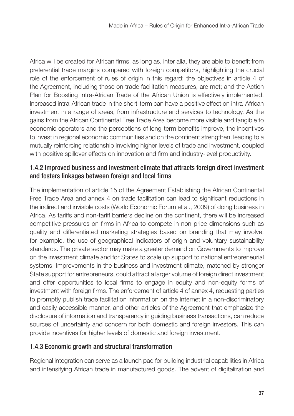Africa will be created for African firms, as long as, inter alia, they are able to benefit from preferential trade margins compared with foreign competitors, highlighting the crucial role of the enforcement of rules of origin in this regard; the objectives in article 4 of the Agreement, including those on trade facilitation measures, are met; and the Action Plan for Boosting Intra-African Trade of the African Union is effectively implemented. Increased intra-African trade in the short-term can have a positive effect on intra-African investment in a range of areas, from infrastructure and services to technology. As the gains from the African Continental Free Trade Area become more visible and tangible to economic operators and the perceptions of long-term benefits improve, the incentives to invest in regional economic communities and on the continent strengthen, leading to a mutually reinforcing relationship involving higher levels of trade and investment, coupled with positive spillover effects on innovation and firm and industry-level productivity.

#### 1.4.2 Improved business and investment climate that attracts foreign direct investment and fosters linkages between foreign and local firms

The implementation of article 15 of the Agreement Establishing the African Continental Free Trade Area and annex 4 on trade facilitation can lead to significant reductions in the indirect and invisible costs (World Economic Forum et al., 2009) of doing business in Africa. As tariffs and non-tariff barriers decline on the continent, there will be increased competitive pressures on firms in Africa to compete in non-price dimensions such as quality and differentiated marketing strategies based on branding that may involve, for example, the use of geographical indicators of origin and voluntary sustainability standards. The private sector may make a greater demand on Governments to improve on the investment climate and for States to scale up support to national entrepreneurial systems. Improvements in the business and investment climate, matched by stronger State support for entrepreneurs, could attract a larger volume of foreign direct investment and offer opportunities to local firms to engage in equity and non-equity forms of investment with foreign firms. The enforcement of article 4 of annex 4, requesting parties to promptly publish trade facilitation information on the Internet in a non-discriminatory and easily accessible manner, and other articles of the Agreement that emphasize the disclosure of information and transparency in guiding business transactions, can reduce sources of uncertainty and concern for both domestic and foreign investors. This can provide incentives for higher levels of domestic and foreign investment.

#### 1.4.3 Economic growth and structural transformation

Regional integration can serve as a launch pad for building industrial capabilities in Africa and intensifying African trade in manufactured goods. The advent of digitalization and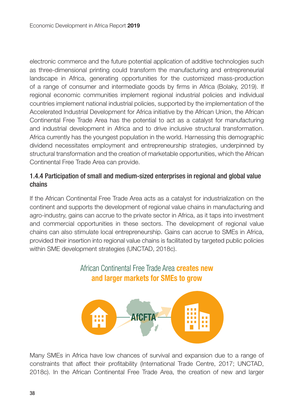electronic commerce and the future potential application of additive technologies such as three-dimensional printing could transform the manufacturing and entrepreneurial landscape in Africa, generating opportunities for the customized mass-production of a range of consumer and intermediate goods by firms in Africa (Bolaky, 2019). If regional economic communities implement regional industrial policies and individual countries implement national industrial policies, supported by the implementation of the Accelerated Industrial Development for Africa initiative by the African Union, the African Continental Free Trade Area has the potential to act as a catalyst for manufacturing and industrial development in Africa and to drive inclusive structural transformation. Africa currently has the youngest population in the world. Harnessing this demographic dividend necessitates employment and entrepreneurship strategies, underpinned by structural transformation and the creation of marketable opportunities, which the African Continental Free Trade Area can provide.

#### 1.4.4 Participation of small and medium-sized enterprises in regional and global value chains

If the African Continental Free Trade Area acts as a catalyst for industrialization on the continent and supports the development of regional value chains in manufacturing and agro-industry, gains can accrue to the private sector in Africa, as it taps into investment and commercial opportunities in these sectors. The development of regional value chains can also stimulate local entrepreneurship. Gains can accrue to SMEs in Africa, provided their insertion into regional value chains is facilitated by targeted public policies within SME development strategies (UNCTAD, 2018c).

#### African Continental Free Trade Area **creates new and larger markets for SMEs to grow**



Many SMEs in Africa have low chances of survival and expansion due to a range of constraints that affect their profitability (International Trade Centre, 2017; UNCTAD, 2018c). In the African Continental Free Trade Area, the creation of new and larger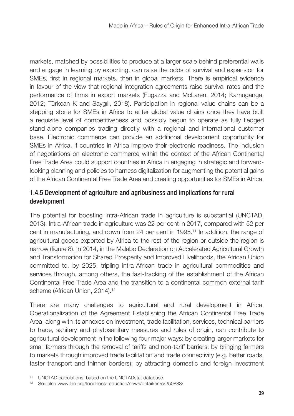markets, matched by possibilities to produce at a larger scale behind preferential walls and engage in learning by exporting, can raise the odds of survival and expansion for SMEs, first in regional markets, then in global markets. There is empirical evidence in favour of the view that regional integration agreements raise survival rates and the performance of firms in export markets (Fugazza and McLaren, 2014; Kamuganga, 2012; Türkcan K and Saygılı, 2018). Participation in regional value chains can be a stepping stone for SMEs in Africa to enter global value chains once they have built a requisite level of competitiveness and possibly begun to operate as fully fledged stand-alone companies trading directly with a regional and international customer base. Electronic commerce can provide an additional development opportunity for SMEs in Africa, if countries in Africa improve their electronic readiness. The inclusion of negotiations on electronic commerce within the context of the African Continental Free Trade Area could support countries in Africa in engaging in strategic and forwardlooking planning and policies to harness digitalization for augmenting the potential gains of the African Continental Free Trade Area and creating opportunities for SMEs in Africa.

#### 1.4.5 Development of agriculture and agribusiness and implications for rural development

The potential for boosting intra-African trade in agriculture is substantial (UNCTAD, 2013). Intra-African trade in agriculture was 22 per cent in 2017, compared with 52 per cent in manufacturing, and down from 24 per cent in 1995.<sup>11</sup> In addition, the range of agricultural goods exported by Africa to the rest of the region or outside the region is narrow (figure 8). In 2014, in the Malabo Declaration on Accelerated Agricultural Growth and Transformation for Shared Prosperity and Improved Livelihoods, the African Union committed to, by 2025, tripling intra-African trade in agricultural commodities and services through, among others, the fast-tracking of the establishment of the African Continental Free Trade Area and the transition to a continental common external tariff scheme (African Union, 2014).<sup>12</sup>

There are many challenges to agricultural and rural development in Africa. Operationalization of the Agreement Establishing the African Continental Free Trade Area, along with its annexes on investment, trade facilitation, services, technical barriers to trade, sanitary and phytosanitary measures and rules of origin, can contribute to agricultural development in the following four major ways: by creating larger markets for small farmers through the removal of tariffs and non-tariff barriers; by bringing farmers to markets through improved trade facilitation and trade connectivity (e.g. better roads, faster transport and thinner borders); by attracting domestic and foreign investment

<sup>11</sup> UNCTAD calculations, based on the UNCTADstat database.

<sup>12</sup> See also www.fao.org/food-loss-reduction/news/detail/en/c/250883/.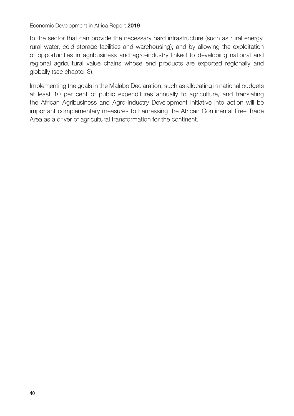#### Economic Development in Africa Report **2019**

to the sector that can provide the necessary hard infrastructure (such as rural energy, rural water, cold storage facilities and warehousing); and by allowing the exploitation of opportunities in agribusiness and agro-industry linked to developing national and regional agricultural value chains whose end products are exported regionally and globally (see chapter 3).

Implementing the goals in the Malabo Declaration, such as allocating in national budgets at least 10 per cent of public expenditures annually to agriculture, and translating the African Agribusiness and Agro-industry Development Initiative into action will be important complementary measures to harnessing the African Continental Free Trade Area as a driver of agricultural transformation for the continent.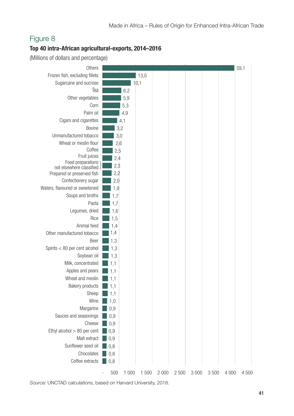#### **Top 40 intra-African agricultural-exports, 2014–2016**

(Millions of dollars and percentage)



Source: UNCTAD calculations, based on Harvard University, 2018.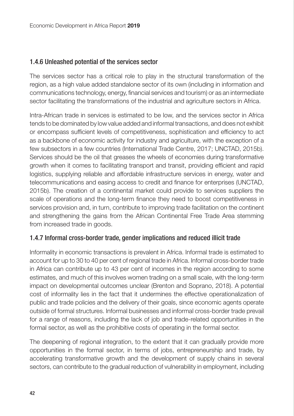#### 1.4.6 Unleashed potential of the services sector

The services sector has a critical role to play in the structural transformation of the region, as a high value added standalone sector of its own (including in information and communications technology, energy, financial services and tourism) or as an intermediate sector facilitating the transformations of the industrial and agriculture sectors in Africa.

Intra-African trade in services is estimated to be low, and the services sector in Africa tends to be dominated by low value added and informal transactions, and does not exhibit or encompass sufficient levels of competitiveness, sophistication and efficiency to act as a backbone of economic activity for industry and agriculture, with the exception of a few subsectors in a few countries (International Trade Centre, 2017; UNCTAD, 2015b). Services should be the oil that greases the wheels of economies during transformative growth when it comes to facilitating transport and transit, providing efficient and rapid logistics, supplying reliable and affordable infrastructure services in energy, water and telecommunications and easing access to credit and finance for enterprises (UNCTAD, 2015b). The creation of a continental market could provide to services suppliers the scale of operations and the long-term finance they need to boost competitiveness in services provision and, in turn, contribute to improving trade facilitation on the continent and strengthening the gains from the African Continental Free Trade Area stemming from increased trade in goods.

#### 1.4.7 Informal cross-border trade, gender implications and reduced illicit trade

Informality in economic transactions is prevalent in Africa. Informal trade is estimated to account for up to 30 to 40 per cent of regional trade in Africa. Informal cross-border trade in Africa can contribute up to 43 per cent of incomes in the region according to some estimates, and much of this involves women trading on a small scale, with the long-term impact on developmental outcomes unclear (Brenton and Soprano, 2018). A potential cost of informality lies in the fact that it undermines the effective operationalization of public and trade policies and the delivery of their goals, since economic agents operate outside of formal structures. Informal businesses and informal cross-border trade prevail for a range of reasons, including the lack of job and trade-related opportunities in the formal sector, as well as the prohibitive costs of operating in the formal sector.

The deepening of regional integration, to the extent that it can gradually provide more opportunities in the formal sector, in terms of jobs, entrepreneurship and trade, by accelerating transformative growth and the development of supply chains in several sectors, can contribute to the gradual reduction of vulnerability in employment, including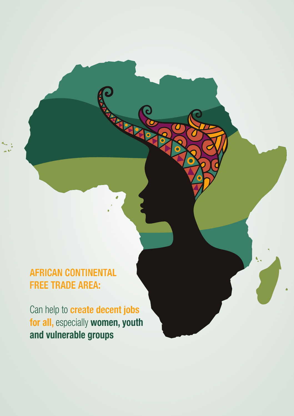## **AFRICAN CONTINENTAL FREE TRADE AREA:**

Can help to **create decent jobs for all,** especially **women, youth and vulnerable groups**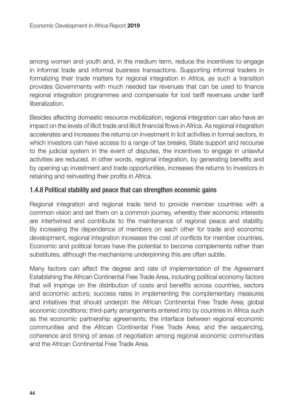among women and youth and, in the medium term, reduce the incentives to engage in informal trade and informal business transactions. Supporting informal traders in formalizing their trade matters for regional integration in Africa, as such a transition provides Governments with much needed tax revenues that can be used to finance regional integration programmes and compensate for lost tariff revenues under tariff liberalization.

Besides affecting domestic resource mobilization, regional integration can also have an impact on the levels of illicit trade and illicit financial flows in Africa. As regional integration accelerates and increases the returns on investment in licit activities in formal sectors, in which investors can have access to a range of tax breaks, State support and recourse to the judicial system in the event of disputes, the incentives to engage in unlawful activities are reduced. In other words, regional integration, by generating benefits and by opening up investment and trade opportunities, increases the returns to investors in retaining and reinvesting their profits in Africa.

#### 1.4.8 Political stability and peace that can strengthen economic gains

Regional integration and regional trade tend to provide member countries with a common vision and set them on a common journey, whereby their economic interests are intertwined and contribute to the maintenance of regional peace and stability. By increasing the dependence of members on each other for trade and economic development, regional integration increases the cost of conflicts for member countries. Economic and political forces have the potential to become complements rather than substitutes, although the mechanisms underpinning this are often subtle.

Many factors can affect the degree and rate of implementation of the Agreement Establishing the African Continental Free Trade Area, including political economy factors that will impinge on the distribution of costs and benefits across countries, sectors and economic actors; success rates in implementing the complementary measures and initiatives that should underpin the African Continental Free Trade Area; global economic conditions; third-party arrangements entered into by countries in Africa such as the economic partnership agreements; the interface between regional economic communities and the African Continental Free Trade Area; and the sequencing, coherence and timing of areas of negotiation among regional economic communities and the African Continental Free Trade Area.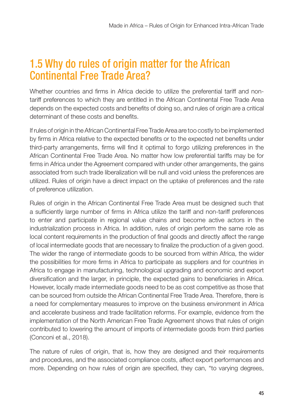## 1.5 Why do rules of origin matter for the African Continental Free Trade Area?

Whether countries and firms in Africa decide to utilize the preferential tariff and nontariff preferences to which they are entitled in the African Continental Free Trade Area depends on the expected costs and benefits of doing so, and rules of origin are a critical determinant of these costs and benefits.

If rules of origin in the African Continental Free Trade Area are too costly to be implemented by firms in Africa relative to the expected benefits or to the expected net benefits under third-party arrangements, firms will find it optimal to forgo utilizing preferences in the African Continental Free Trade Area. No matter how low preferential tariffs may be for firms in Africa under the Agreement compared with under other arrangements, the gains associated from such trade liberalization will be null and void unless the preferences are utilized. Rules of origin have a direct impact on the uptake of preferences and the rate of preference utilization.

Rules of origin in the African Continental Free Trade Area must be designed such that a sufficiently large number of firms in Africa utilize the tariff and non-tariff preferences to enter and participate in regional value chains and become active actors in the industrialization process in Africa. In addition, rules of origin perform the same role as local content requirements in the production of final goods and directly affect the range of local intermediate goods that are necessary to finalize the production of a given good. The wider the range of intermediate goods to be sourced from within Africa, the wider the possibilities for more firms in Africa to participate as suppliers and for countries in Africa to engage in manufacturing, technological upgrading and economic and export diversification and the larger, in principle, the expected gains to beneficiaries in Africa. However, locally made intermediate goods need to be as cost competitive as those that can be sourced from outside the African Continental Free Trade Area. Therefore, there is a need for complementary measures to improve on the business environment in Africa and accelerate business and trade facilitation reforms. For example, evidence from the implementation of the North American Free Trade Agreement shows that rules of origin contributed to lowering the amount of imports of intermediate goods from third parties (Conconi et al., 2018).

The nature of rules of origin, that is, how they are designed and their requirements and procedures, and the associated compliance costs, affect export performances and more. Depending on how rules of origin are specified, they can, "to varying degrees,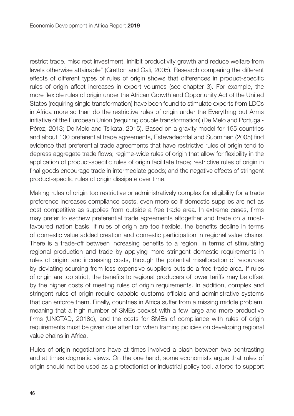restrict trade, misdirect investment, inhibit productivity growth and reduce welfare from levels otherwise attainable" (Gretton and Gali, 2005). Research comparing the different effects of different types of rules of origin shows that differences in product-specific rules of origin affect increases in export volumes (see chapter 3). For example, the more flexible rules of origin under the African Growth and Opportunity Act of the United States (requiring single transformation) have been found to stimulate exports from LDCs in Africa more so than do the restrictive rules of origin under the Everything but Arms initiative of the European Union (requiring double transformation) (De Melo and Portugal-Pérez, 2013; De Melo and Tsikata, 2015). Based on a gravity model for 155 countries and about 100 preferential trade agreements, Estevadeordal and Suominen (2005) find evidence that preferential trade agreements that have restrictive rules of origin tend to depress aggregate trade flows; regime-wide rules of origin that allow for flexibility in the application of product-specific rules of origin facilitate trade; restrictive rules of origin in final goods encourage trade in intermediate goods; and the negative effects of stringent product-specific rules of origin dissipate over time.

Making rules of origin too restrictive or administratively complex for eligibility for a trade preference increases compliance costs, even more so if domestic supplies are not as cost competitive as supplies from outside a free trade area. In extreme cases, firms may prefer to eschew preferential trade agreements altogether and trade on a mostfavoured nation basis. If rules of origin are too flexible, the benefits decline in terms of domestic value added creation and domestic participation in regional value chains. There is a trade-off between increasing benefits to a region, in terms of stimulating regional production and trade by applying more stringent domestic requirements in rules of origin; and increasing costs, through the potential misallocation of resources by deviating sourcing from less expensive suppliers outside a free trade area. If rules of origin are too strict, the benefits to regional producers of lower tariffs may be offset by the higher costs of meeting rules of origin requirements. In addition, complex and stringent rules of origin require capable customs officials and administrative systems that can enforce them. Finally, countries in Africa suffer from a missing middle problem, meaning that a high number of SMEs coexist with a few large and more productive firms (UNCTAD, 2018c), and the costs for SMEs of compliance with rules of origin requirements must be given due attention when framing policies on developing regional value chains in Africa.

Rules of origin negotiations have at times involved a clash between two contrasting and at times dogmatic views. On the one hand, some economists argue that rules of origin should not be used as a protectionist or industrial policy tool, altered to support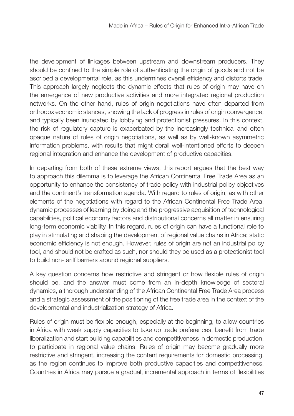the development of linkages between upstream and downstream producers. They should be confined to the simple role of authenticating the origin of goods and not be ascribed a developmental role, as this undermines overall efficiency and distorts trade. This approach largely neglects the dynamic effects that rules of origin may have on the emergence of new productive activities and more integrated regional production networks. On the other hand, rules of origin negotiations have often departed from orthodox economic stances, showing the lack of progress in rules of origin convergence, and typically been inundated by lobbying and protectionist pressures. In this context, the risk of regulatory capture is exacerbated by the increasingly technical and often opaque nature of rules of origin negotiations, as well as by well-known asymmetric information problems, with results that might derail well-intentioned efforts to deepen regional integration and enhance the development of productive capacities.

In departing from both of these extreme views, this report argues that the best way to approach this dilemma is to leverage the African Continental Free Trade Area as an opportunity to enhance the consistency of trade policy with industrial policy objectives and the continent's transformation agenda. With regard to rules of origin, as with other elements of the negotiations with regard to the African Continental Free Trade Area, dynamic processes of learning by doing and the progressive acquisition of technological capabilities, political economy factors and distributional concerns all matter in ensuring long-term economic viability. In this regard, rules of origin can have a functional role to play in stimulating and shaping the development of regional value chains in Africa; static economic efficiency is not enough. However, rules of origin are not an industrial policy tool, and should not be crafted as such, nor should they be used as a protectionist tool to build non-tariff barriers around regional suppliers.

A key question concerns how restrictive and stringent or how flexible rules of origin should be, and the answer must come from an in-depth knowledge of sectoral dynamics, a thorough understanding of the African Continental Free Trade Area process and a strategic assessment of the positioning of the free trade area in the context of the developmental and industrialization strategy of Africa.

Rules of origin must be flexible enough, especially at the beginning, to allow countries in Africa with weak supply capacities to take up trade preferences, benefit from trade liberalization and start building capabilities and competitiveness in domestic production, to participate in regional value chains. Rules of origin may become gradually more restrictive and stringent, increasing the content requirements for domestic processing, as the region continues to improve both productive capacities and competitiveness. Countries in Africa may pursue a gradual, incremental approach in terms of flexibilities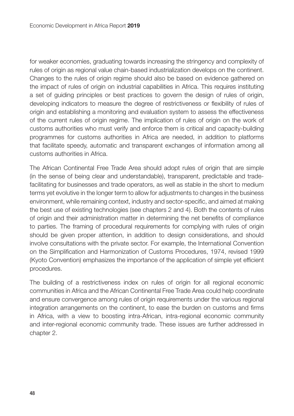for weaker economies, graduating towards increasing the stringency and complexity of rules of origin as regional value chain-based industrialization develops on the continent. Changes to the rules of origin regime should also be based on evidence gathered on the impact of rules of origin on industrial capabilities in Africa. This requires instituting a set of guiding principles or best practices to govern the design of rules of origin, developing indicators to measure the degree of restrictiveness or flexibility of rules of origin and establishing a monitoring and evaluation system to assess the effectiveness of the current rules of origin regime. The implication of rules of origin on the work of customs authorities who must verify and enforce them is critical and capacity-building programmes for customs authorities in Africa are needed, in addition to platforms that facilitate speedy, automatic and transparent exchanges of information among all customs authorities in Africa.

The African Continental Free Trade Area should adopt rules of origin that are simple (in the sense of being clear and understandable), transparent, predictable and tradefacilitating for businesses and trade operators, as well as stable in the short to medium terms yet evolutive in the longer term to allow for adjustments to changes in the business environment, while remaining context, industry and sector-specific, and aimed at making the best use of existing technologies (see chapters 2 and 4). Both the contents of rules of origin and their administration matter in determining the net benefits of compliance to parties. The framing of procedural requirements for complying with rules of origin should be given proper attention, in addition to design considerations, and should involve consultations with the private sector. For example, the International Convention on the Simplification and Harmonization of Customs Procedures, 1974, revised 1999 (Kyoto Convention) emphasizes the importance of the application of simple yet efficient procedures.

The building of a restrictiveness index on rules of origin for all regional economic communities in Africa and the African Continental Free Trade Area could help coordinate and ensure convergence among rules of origin requirements under the various regional integration arrangements on the continent, to ease the burden on customs and firms in Africa, with a view to boosting intra-African, intra-regional economic community and inter-regional economic community trade. These issues are further addressed in chapter 2.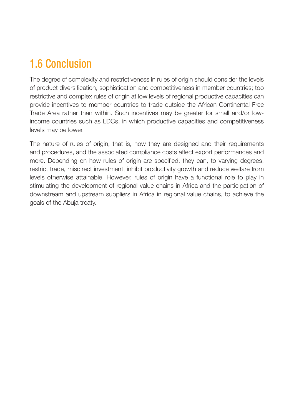## 1.6 Conclusion

The degree of complexity and restrictiveness in rules of origin should consider the levels of product diversification, sophistication and competitiveness in member countries; too restrictive and complex rules of origin at low levels of regional productive capacities can provide incentives to member countries to trade outside the African Continental Free Trade Area rather than within. Such incentives may be greater for small and/or lowincome countries such as LDCs, in which productive capacities and competitiveness levels may be lower.

The nature of rules of origin, that is, how they are designed and their requirements and procedures, and the associated compliance costs affect export performances and more. Depending on how rules of origin are specified, they can, to varying degrees, restrict trade, misdirect investment, inhibit productivity growth and reduce welfare from levels otherwise attainable. However, rules of origin have a functional role to play in stimulating the development of regional value chains in Africa and the participation of downstream and upstream suppliers in Africa in regional value chains, to achieve the goals of the Abuja treaty.